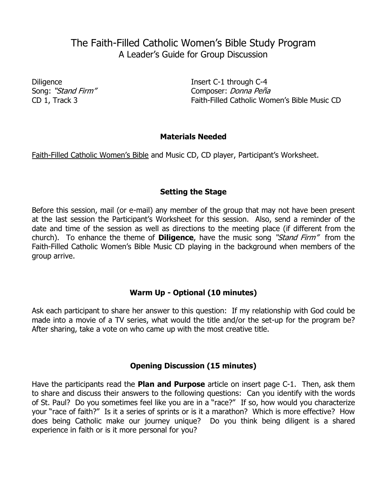# The Faith-Filled Catholic Women's Bible Study Program A Leader's Guide for Group Discussion

Diligence Insert C-1 through C-4 Song: "Stand Firm" Composer: *Donna Peña* CD 1, Track 3 Faith-Filled Catholic Women's Bible Music CD

## **Materials Needed**

Faith-Filled Catholic Women's Bible and Music CD, CD player, Participant's Worksheet.

## **Setting the Stage**

Before this session, mail (or e-mail) any member of the group that may not have been present at the last session the Participant's Worksheet for this session. Also, send a reminder of the date and time of the session as well as directions to the meeting place (if different from the church). To enhance the theme of **Diligence**, have the music song "Stand Firm" from the Faith-Filled Catholic Women's Bible Music CD playing in the background when members of the group arrive.

#### **Warm Up - Optional (10 minutes)**

Ask each participant to share her answer to this question: If my relationship with God could be made into a movie of a TV series, what would the title and/or the set-up for the program be? After sharing, take a vote on who came up with the most creative title.

#### **Opening Discussion (15 minutes)**

Have the participants read the **Plan and Purpose** article on insert page C-1. Then, ask them to share and discuss their answers to the following questions: Can you identify with the words of St. Paul? Do you sometimes feel like you are in a "race?" If so, how would you characterize your "race of faith?" Is it a series of sprints or is it a marathon? Which is more effective? How does being Catholic make our journey unique? Do you think being diligent is a shared experience in faith or is it more personal for you?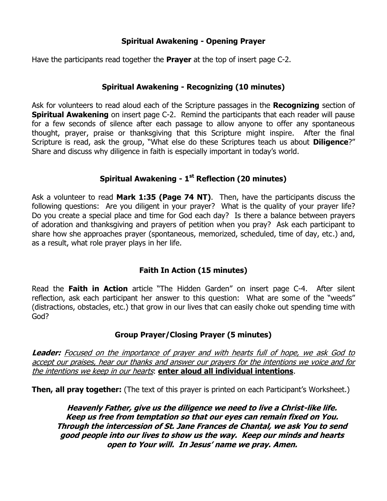## **Spiritual Awakening - Opening Prayer**

Have the participants read together the **Prayer** at the top of insert page C-2.

## **Spiritual Awakening - Recognizing (10 minutes)**

Ask for volunteers to read aloud each of the Scripture passages in the **Recognizing** section of **Spiritual Awakening** on insert page C-2. Remind the participants that each reader will pause for a few seconds of silence after each passage to allow anyone to offer any spontaneous thought, prayer, praise or thanksgiving that this Scripture might inspire. After the final Scripture is read, ask the group, "What else do these Scriptures teach us about **Diligence**?" Share and discuss why diligence in faith is especially important in today's world.

# **Spiritual Awakening - 1 st Reflection (20 minutes)**

Ask a volunteer to read **Mark 1:35 (Page 74 NT)**. Then, have the participants discuss the following questions: Are you diligent in your prayer? What is the quality of your prayer life? Do you create a special place and time for God each day? Is there a balance between prayers of adoration and thanksgiving and prayers of petition when you pray? Ask each participant to share how she approaches prayer (spontaneous, memorized, scheduled, time of day, etc.) and, as a result, what role prayer plays in her life.

# **Faith In Action (15 minutes)**

Read the **Faith in Action** article "The Hidden Garden" on insert page C-4. After silent reflection, ask each participant her answer to this question: What are some of the "weeds" (distractions, obstacles, etc.) that grow in our lives that can easily choke out spending time with God?

# **Group Prayer/Closing Prayer (5 minutes)**

**Leader:** Focused on the importance of prayer and with hearts full of hope, we ask God to accept our praises, hear our thanks and answer our prayers for the intentions we voice and for the intentions we keep in our hearts: **enter aloud all individual intentions**.

**Then, all pray together:** (The text of this prayer is printed on each Participant's Worksheet.)

**Heavenly Father, give us the diligence we need to live a Christ-like life. Keep us free from temptation so that our eyes can remain fixed on You. Through the intercession of St. Jane Frances de Chantal, we ask You to send good people into our lives to show us the way. Keep our minds and hearts open to Your will. In Jesus' name we pray. Amen.**